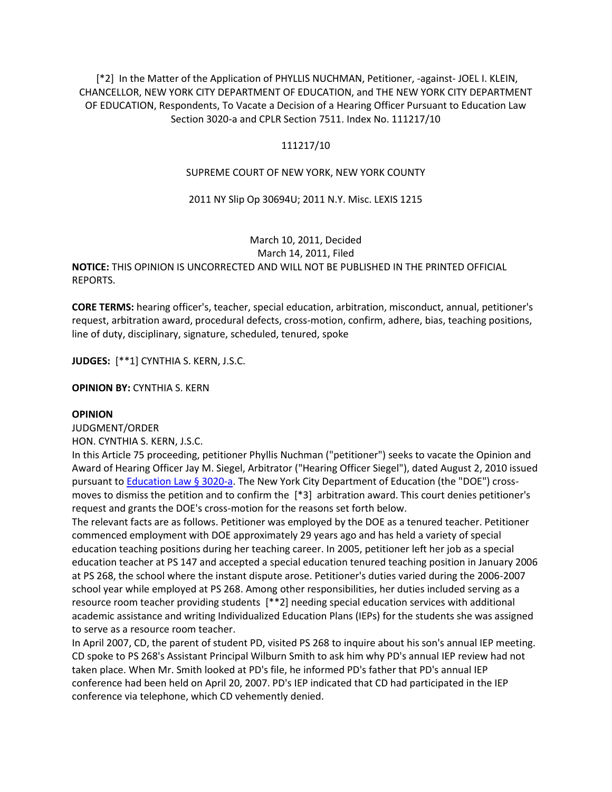[\*2] In the Matter of the Application of PHYLLIS NUCHMAN, Petitioner, -against- JOEL I. KLEIN, CHANCELLOR, NEW YORK CITY DEPARTMENT OF EDUCATION, and THE NEW YORK CITY DEPARTMENT OF EDUCATION, Respondents, To Vacate a Decision of a Hearing Officer Pursuant to Education Law Section 3020-a and CPLR Section 7511. Index No. 111217/10

## 111217/10

### SUPREME COURT OF NEW YORK, NEW YORK COUNTY

#### 2011 NY Slip Op 30694U; 2011 N.Y. Misc. LEXIS 1215

# March 10, 2011, Decided March 14, 2011, Filed **NOTICE:** THIS OPINION IS UNCORRECTED AND WILL NOT BE PUBLISHED IN THE PRINTED OFFICIAL REPORTS.

**CORE TERMS:** hearing officer's, teacher, special education, arbitration, misconduct, annual, petitioner's request, arbitration award, procedural defects, cross-motion, confirm, adhere, bias, teaching positions, line of duty, disciplinary, signature, scheduled, tenured, spoke

**JUDGES:** [\*\*1] CYNTHIA S. KERN, J.S.C.

**OPINION BY:** CYNTHIA S. KERN

#### **OPINION**

JUDGMENT/ORDER

HON. CYNTHIA S. KERN, J.S.C.

In this Article 75 proceeding, petitioner Phyllis Nuchman ("petitioner") seeks to vacate the Opinion and Award of Hearing Officer Jay M. Siegel, Arbitrator ("Hearing Officer Siegel"), dated August 2, 2010 issued pursuant t[o Education Law § 3020-a.](http://www.lexisnexis.com.ezproxy.strose.edu/lnacui2api/mungo/lexseestat.do?bct=A&risb=21_T12065449606&homeCsi=9095&A=0.8213822016854512&urlEnc=ISO-8859-1&&citeString=N.Y.%20EDUC.%20LAW%203020-A&countryCode=USA) The New York City Department of Education (the "DOE") crossmoves to dismiss the petition and to confirm the [\*3] arbitration award. This court denies petitioner's request and grants the DOE's cross-motion for the reasons set forth below.

The relevant facts are as follows. Petitioner was employed by the DOE as a tenured teacher. Petitioner commenced employment with DOE approximately 29 years ago and has held a variety of special education teaching positions during her teaching career. In 2005, petitioner left her job as a special education teacher at PS 147 and accepted a special education tenured teaching position in January 2006 at PS 268, the school where the instant dispute arose. Petitioner's duties varied during the 2006-2007 school year while employed at PS 268. Among other responsibilities, her duties included serving as a resource room teacher providing students [\*\*2] needing special education services with additional academic assistance and writing Individualized Education Plans (IEPs) for the students she was assigned to serve as a resource room teacher.

In April 2007, CD, the parent of student PD, visited PS 268 to inquire about his son's annual IEP meeting. CD spoke to PS 268's Assistant Principal Wilburn Smith to ask him why PD's annual IEP review had not taken place. When Mr. Smith looked at PD's file, he informed PD's father that PD's annual IEP conference had been held on April 20, 2007. PD's IEP indicated that CD had participated in the IEP conference via telephone, which CD vehemently denied.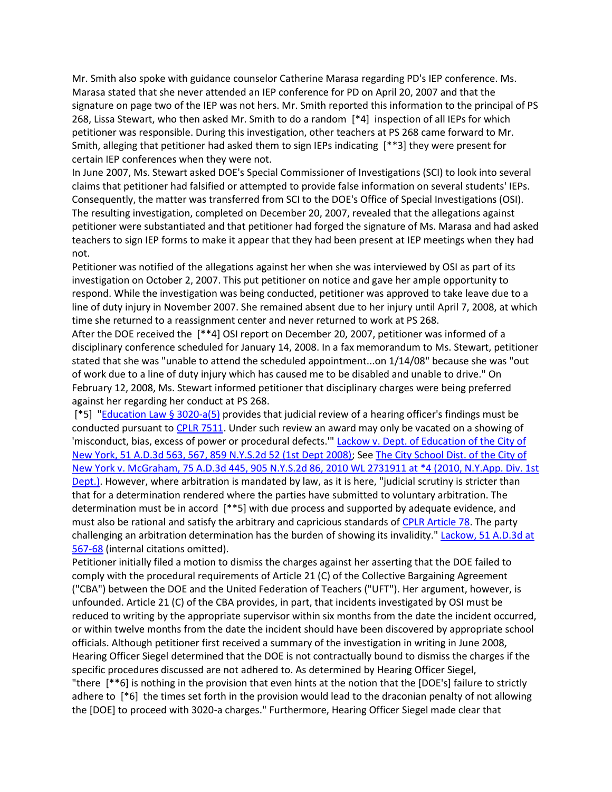Mr. Smith also spoke with guidance counselor Catherine Marasa regarding PD's IEP conference. Ms. Marasa stated that she never attended an IEP conference for PD on April 20, 2007 and that the signature on page two of the IEP was not hers. Mr. Smith reported this information to the principal of PS 268, Lissa Stewart, who then asked Mr. Smith to do a random [\*4] inspection of all IEPs for which petitioner was responsible. During this investigation, other teachers at PS 268 came forward to Mr. Smith, alleging that petitioner had asked them to sign IEPs indicating [\*\*3] they were present for certain IEP conferences when they were not.

In June 2007, Ms. Stewart asked DOE's Special Commissioner of Investigations (SCI) to look into several claims that petitioner had falsified or attempted to provide false information on several students' IEPs. Consequently, the matter was transferred from SCI to the DOE's Office of Special Investigations (OSI). The resulting investigation, completed on December 20, 2007, revealed that the allegations against petitioner were substantiated and that petitioner had forged the signature of Ms. Marasa and had asked teachers to sign IEP forms to make it appear that they had been present at IEP meetings when they had not.

Petitioner was notified of the allegations against her when she was interviewed by OSI as part of its investigation on October 2, 2007. This put petitioner on notice and gave her ample opportunity to respond. While the investigation was being conducted, petitioner was approved to take leave due to a line of duty injury in November 2007. She remained absent due to her injury until April 7, 2008, at which time she returned to a reassignment center and never returned to work at PS 268.

After the DOE received the [\*\*4] OSI report on December 20, 2007, petitioner was informed of a disciplinary conference scheduled for January 14, 2008. In a fax memorandum to Ms. Stewart, petitioner stated that she was "unable to attend the scheduled appointment...on 1/14/08" because she was "out of work due to a line of duty injury which has caused me to be disabled and unable to drive." On February 12, 2008, Ms. Stewart informed petitioner that disciplinary charges were being preferred against her regarding her conduct at PS 268.

[\*5] ["Education Law § 3020-a\(5\)](http://www.lexisnexis.com.ezproxy.strose.edu/lnacui2api/mungo/lexseestat.do?bct=A&risb=21_T12065449606&homeCsi=9095&A=0.8213822016854512&urlEnc=ISO-8859-1&&citeString=N.Y.%20EDUC.%20LAW%203020-A&countryCode=USA) provides that judicial review of a hearing officer's findings must be conducted pursuant t[o CPLR 7511.](http://www.lexisnexis.com.ezproxy.strose.edu/lnacui2api/mungo/lexseestat.do?bct=A&risb=21_T12065449606&homeCsi=9095&A=0.8213822016854512&urlEnc=ISO-8859-1&&citeString=N.Y.%20C.P.L.R.%207511&countryCode=USA) Under such review an award may only be vacated on a showing of 'misconduct, bias, excess of power or procedural defects.'" [Lackow v. Dept. of Education of the City of](http://www.lexisnexis.com.ezproxy.strose.edu/lnacui2api/mungo/lexseestat.do?bct=A&risb=21_T12065449606&homeCsi=9095&A=0.8213822016854512&urlEnc=ISO-8859-1&&citeString=51%20A.D.3d%20563,%20567&countryCode=USA)  [New York, 51 A.D.3d 563, 567, 859 N.Y.S.2d 52 \(1st Dept 2008\);](http://www.lexisnexis.com.ezproxy.strose.edu/lnacui2api/mungo/lexseestat.do?bct=A&risb=21_T12065449606&homeCsi=9095&A=0.8213822016854512&urlEnc=ISO-8859-1&&citeString=51%20A.D.3d%20563,%20567&countryCode=USA) See [The City School Dist. of the City of](http://www.lexisnexis.com.ezproxy.strose.edu/lnacui2api/mungo/lexseestat.do?bct=A&risb=21_T12065449606&homeCsi=9095&A=0.8213822016854512&urlEnc=ISO-8859-1&&citeString=75%20A.D.3d%20445&countryCode=USA)  [New York v. McGraham, 75 A.D.3d 445, 905 N.Y.S.2d 86, 2010 WL 2731911 at \\*4 \(2010, N.Y.App. Div. 1st](http://www.lexisnexis.com.ezproxy.strose.edu/lnacui2api/mungo/lexseestat.do?bct=A&risb=21_T12065449606&homeCsi=9095&A=0.8213822016854512&urlEnc=ISO-8859-1&&citeString=75%20A.D.3d%20445&countryCode=USA)  [Dept.\).](http://www.lexisnexis.com.ezproxy.strose.edu/lnacui2api/mungo/lexseestat.do?bct=A&risb=21_T12065449606&homeCsi=9095&A=0.8213822016854512&urlEnc=ISO-8859-1&&citeString=75%20A.D.3d%20445&countryCode=USA) However, where arbitration is mandated by law, as it is here, "judicial scrutiny is stricter than that for a determination rendered where the parties have submitted to voluntary arbitration. The determination must be in accord [\*\*5] with due process and supported by adequate evidence, and must also be rational and satisfy the arbitrary and capricious standards o[f CPLR Article 78.](http://www.lexisnexis.com.ezproxy.strose.edu/lnacui2api/mungo/lexseestat.do?bct=A&risb=21_T12065449606&homeCsi=9095&A=0.8213822016854512&urlEnc=ISO-8859-1&&citeString=N.Y.%20C.P.L.R.%207801&countryCode=USA) The party challenging an arbitration determination has the burden of showing its invalidity." [Lackow, 51 A.D.3d at](http://www.lexisnexis.com.ezproxy.strose.edu/lnacui2api/mungo/lexseestat.do?bct=A&risb=21_T12065449606&homeCsi=9095&A=0.8213822016854512&urlEnc=ISO-8859-1&&citeString=51%20A.D.3d%20563,%20567&countryCode=USA)  [567-68](http://www.lexisnexis.com.ezproxy.strose.edu/lnacui2api/mungo/lexseestat.do?bct=A&risb=21_T12065449606&homeCsi=9095&A=0.8213822016854512&urlEnc=ISO-8859-1&&citeString=51%20A.D.3d%20563,%20567&countryCode=USA) (internal citations omitted).

Petitioner initially filed a motion to dismiss the charges against her asserting that the DOE failed to comply with the procedural requirements of Article 21 (C) of the Collective Bargaining Agreement ("CBA") between the DOE and the United Federation of Teachers ("UFT"). Her argument, however, is unfounded. Article 21 (C) of the CBA provides, in part, that incidents investigated by OSI must be reduced to writing by the appropriate supervisor within six months from the date the incident occurred, or within twelve months from the date the incident should have been discovered by appropriate school officials. Although petitioner first received a summary of the investigation in writing in June 2008, Hearing Officer Siegel determined that the DOE is not contractually bound to dismiss the charges if the specific procedures discussed are not adhered to. As determined by Hearing Officer Siegel, "there [\*\*6] is nothing in the provision that even hints at the notion that the [DOE's] failure to strictly adhere to [\*6] the times set forth in the provision would lead to the draconian penalty of not allowing the [DOE] to proceed with 3020-a charges." Furthermore, Hearing Officer Siegel made clear that